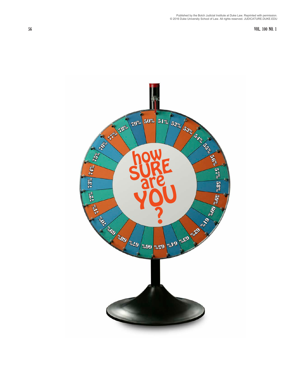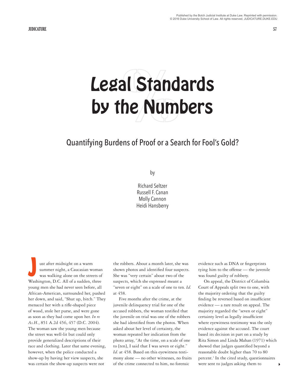# al Stand<br>he Num Legal Standards by the Numbers

# Quantifying Burdens of Proof or a Search for Fool's Gold?

by

Richard Seltzer Russell F. Canan Molly Cannon Heidi Hansberry

ust after midnight on a warm summer night, a Caucasian woman was walking alone on the streets of Washington, D.C. All of a sudden, three young men she had never seen before, all African-American, surrounded her, pushed her down, and said, "Shut up, bitch." They menaced her with a rifle-shaped piece of wood, stole her purse, and were gone as soon as they had come upon her. *In re As.H.*, 851 A.2d 456, 457 (D.C. 2004). The woman saw the young men because the street was well-lit but could only provide generalized descriptions of their race and clothing. Later that same evening, however, when the police conducted a show-up by having her view suspects, she was certain the show-up suspects were not J

the robbers. About a month later, she was shown photos and identified four suspects. She was "very certain" about two of the suspects, which she expressed meant a "seven or eight" on a scale of one to ten. *Id.* at 458.

Five months after the crime, at the juvenile delinquency trial for one of the accused robbers, the woman testified that the juvenile on trial was one of the robbers she had identified from the photos. When asked about her level of certainty, the woman repeated her indication from the photo array, "At the time, on a scale of one to [ten], I said that I was seven or eight." *Id.* at 458. Based on this eyewitness testimony alone — no other witnesses, no fruits of the crime connected to him, no forensic

evidence such as DNA or fingerprints tying him to the offense — the juvenile was found guilty of robbery.

On appeal, the District of Columbia Court of Appeals split two to one, with the majority ordering that the guilty finding be reversed based on insufficient evidence — a rare result on appeal. The majority regarded the "seven or eight" certainty level as legally insufficient where eyewitness testimony was the only evidence against the accused. The court based its decision in part on a study by Rita Simon and Linda Mahan (1971) which showed that judges quantified beyond a reasonable doubt higher than 70 to 80 percent.<sup>1</sup> In the cited study, questionnaires were sent to judges asking them to  $\bullet$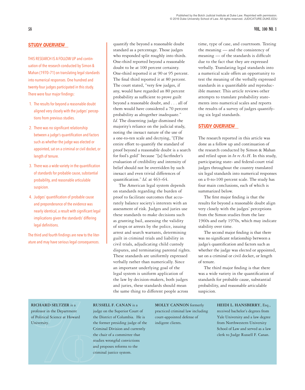# **58 VOL. 100 NO. 1**

# STUDY OVERVIEW

THIS RESEARCH IS A FOLLOW UP and continuation of the research conducted by Simon & Mahan (1970–71) on translating legal standards into numerical responses. One hundred and twenty-four judges participated in this study. There were four major findings:

- 1. The results for beyond a reasonable doubt aligned very closely with the judges' perceptions from previous studies.
- 2. There was no significant relationship between a judge's quantification and factors such as whether the judge was elected or appointed, sat on a criminal or civil docket, or length of tenure.
- 3. There was a wide variety in the quantification of standards for probable cause, substantial probability, and reasonable articulable suspicion.
- 4. Judges' quantification of probable cause and preponderance of the evidence was nearly identical, a result with significant legal implications given the standards' differing legal definitions.

The third and fourth findings are new to the literature and may have serious legal consequences.

quantify the beyond a reasonable doubt standard as a percentage. Those judges who responded split roughly into thirds. One-third reported beyond a reasonable doubt to be at 100 percent certainty. One-third reported it at 90 or 95 percent. The final third reported it at 80 percent. The court stated, "very few judges, if any, would have regarded an 80 percent probability as sufficient to prove guilt beyond a reasonable doubt, and . . . all of them would have considered a 70 percent probability as altogether inadequate." *Id.* The dissenting judge dismissed the majority's reliance on the judicial study, noting the inexact nature of the use of a one-to-ten scale and decrying, "[T}he entire effort to quantify the standard of proof beyond a reasonable doubt is a search for fool's gold" because "[a] factfinder's evaluation of credibility and intensity of belief should not be overridden by such inexact and even trivial differences of quantification." *Id.* at 463–64.

The American legal system depends on standards regarding the burden of proof to facilitate outcomes that accurately balance society's interests with an assessment of risk. Judges and juries use these standards to make decisions such as granting bail, assessing the validity of stops or arrests by the police, issuing arrest and search warrants, determining guilt in criminal trials and liability in civil trials, adjudicating child custody disputes, and terminating parental rights. These standards are uniformly expressed verbally rather than numerically. Since an important underlying goal of the legal system is uniform application of the law by decision-makers, both judges and juries, these standards should mean the same thing to different people across

time, type of case, and courtroom. Testing the meaning — and the consistency of meaning — of the standards is difficult due to the fact that they are expressed verbally. Translating legal standards into a numerical scale offers an opportunity to test the meaning of the verbally expressed standards in a quantifiable and reproducible manner. This article reviews other attempts to translate probability statements into numerical scales and reports the results of a survey of judges quantifying six legal standards.

# STUDY OVERVIEW

The research reported in this article was done as a follow up and continuation of the research conducted by Simon & Mahan and relied upon in *In re As.H*. In this study, participating state- and federal-court trial judges throughout the country translated six legal standards into numerical responses on a 0-to-100 percent scale. The study has four main conclusions, each of which is summarized below.

The first major finding is that the results for beyond a reasonable doubt align very closely with the judges' perceptions from the Simon studies from the late 1960s and early 1970s, which may indicate stability over time.

The second major finding is that there was no significant relationship between a judge's quantification and factors such as whether the judge was elected or appointed, sat on a criminal or civil docket, or length of tenure.

The third major finding is that there was a wide variety in the quantification of standards for probable cause, substantial probability, and reasonable articulable suspicion.

# **RICHARD SELTZER** is a

RICHARD SELTZER is a<br>professor in the Department<br>of Political Science at Howard<br>University.<br>the Contract of the State<br>of the State of the State<br>of the State of the State<br>of the State of the State of the State of the State professor in the Department of Political Science at Howard University.

# **RUSSELL F. CANAN** is a

judge on the Superior Court of the District of Columbia. He is the former presiding judge of the Criminal Division and currently the chair of a committee that studies wrongful convictions and proposes reforms to the criminal justice system.

**MOLLY CANNON** formerly practiced criminal law including court-appointed defense of indigent clients.

**HEIDI L. HANSBERRY**, Esq., received bachelor's degrees from Yale University and a law degree from Northwestern University School of Law and served as a law clerk to Judge Russell F. Canan.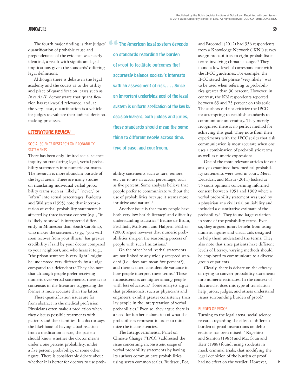quantification of probable cause and preponderance of the evidence was nearly identical, a result with significant legal implications given the standards' differing legal definitions.

Although there is debate in the legal academy and the courts as to the utility and place of quantification, cases such as *In re As.H.* demonstrate that quantification has real-world relevance, and, at the very least, quantification is a vehicle for judges to evaluate their judicial decisionmaking processes.

### LITERATURE REVIEW

# SOCIAL SCIENCE RESEARCH ON PROBABILITY **STATEMENTS**

There has been only limited social science inquiry on translating legal, verbal probability statements into numeric estimates. The research is more abundant outside of the legal arena. There are many studies on translating individual verbal probability terms such as "likely," "never," or "often" into actual percentages. Budescu and Wallsten (1995) note that interpretation of verbal probability statements is affected by three factors: context (e.g., "it is likely to snow" is interpreted differently in Minnesota than South Carolina), who makes the statement (e.g., "you will soon recover from your illness" has greater credibility if said by your doctor compared to your neighbor), and who hears it (e.g., "the prison sentence is very light" might be understood very differently by a judge compared to a defendant).<sup>2</sup> They also note that although people prefer receiving numeric over verbal statements, there is no consensus in the literature suggesting the former is more accurate than the latter.

These quantification issues are far from abstract in the medical profession. Physicians often make a prediction when they discuss possible treatments with patients and their families. If a doctor says the likelihood of having a bad reaction from a medication is rare, the patient should know whether the doctor means under a one percent probability, under a five percent probability, or some other figure. There is considerable debate about whether it is better for doctors to use prob-

The fourth major finding is that judges' **The American legal system depends**<br>
ponderance of the evidence was nearly **on standards regarding the burden** on standards regarding the burden of proof to facilitate outcomes that accurately balance society's interests with an assessment of risk. . . . Since an important underlying goal of the legal system is uniform application of the law by decision-makers, both judges and juries, these standards should mean the same thing to different people across time, type of case, and courtroom.

> ability statements such as rare, remote, etc., or to use an actual percentage, such as five percent. Some analysts believe that people prefer to communicate without the use of probabilities because it seems more intuitive and natural.<sup>3</sup>

Another issue is that many people have both very low health literacy<sup>4</sup> and difficulty understanding statistics.<sup>5</sup> Bruine de Bruin, Fischhoff, Millstein, and Halpern-Felsher (2000) argue however that numeric probabilities sharpen the reasoning process of people with such limitations.6

On the other hand, verbal statements are not linked to any widely accepted standard (i.e., does rare mean five percent?), and there is often considerable variance in how people interpret these terms.<sup>7</sup> These inconsistencies are higher among people with less education.<sup>8</sup> Some analysts argue that professionals, such as physicians and engineers, exhibit greater consistency than lay people in the interpretation of verbal probabilities.<sup>9</sup> Even so, they argue there is a need for further elaboration of what the probabilities represent in order to minimize the inconsistencies.

The Intergovernmental Panel on Climate Change ("IPCC") addressed the issue concerning inconsistent usage of verbal probability statements by having its authors communicate probabilities using seven common scales. Budescu, Por, and Broomell (2012) had 556 respondents from a Knowledge Network ("KN") survey assign probabilities to eight probabilistic terms involving climate change.<sup>10</sup> They found a low-level of correspondence with the IPCC guidelines. For example, the IPCC stated the phrase "very likely" was to be used when referring to probabilities greater than 90 percent. However, in contrast, the KN respondents reported between 65 and 75 percent on this scale. The authors did not criticize the IPCC for attempting to establish standards to communicate uncertainty. They merely recognized there is no perfect method for achieving this goal. They note from their experiments with the IPCC scales that risk communication is most accurate when one uses a combination of probabilistic terms as well as numeric expressions.

One of the more relevant articles for our analysis examined how medical probability statements were used in court. Merz, Druzdzel, and Mazur (2011) looked at 55 court opinions concerning informed consent between 1951 and 1989 where a verbal probability statement was used by a physician at a civil trial on liability and included a quantitative estimate of the probability.11 They found large variation in some of the probability terms. Even so, they argued jurors benefit from using numeric figures and visual aids designed to help them understand the terms. They also note that since patients have different levels of literacy, varying methods should be employed to communicate to a diverse group of patients.

Clearly, there is debate on the efficacy of trying to convert probability statements into numeric estimates. In the context of this article, does this type of translation help jurors, judges, and others understand issues surrounding burden of proof?

### BURDEN OF PROOF

Turning to the legal arena, social science research regarding the effect of different burden of proof instructions on deliberations has been mixed.12 Kagehiro and Stanton (1985) and MacCoun and Kerr (1988) found, using students in mock criminal trials, that modifying the legal definition of the burden of proof had no effect on the verdict. However,

 $\blacktriangleright$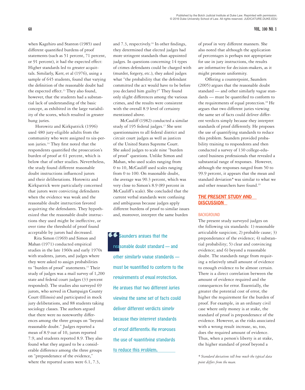when Kagehiro and Stanton (1985) used different quantified burdens of proof statements (such as 51 percent, 71 percent, or 91 percent), it had the expected effect: Higher standards led to greater acquittals. Similarly, Kerr, et al (1976), using a sample of 645 students, found that varying the definition of the reasonable doubt had the expected effect.<sup>13</sup> They also found, however, that the students had a substantial lack of understanding of the basic concept, as exhibited in the large variability of the scores, which resulted in greater hung juries.

Horowitz and Kirkpatrick (1996) used 480 jury-eligible adults from the community who were assigned to six-person juries.<sup>14</sup> They first noted that the respondents quantified the prosecution's burden of proof at 61 percent, which is below that of other studies. Nevertheless, the study found different reasonable doubt instructions influenced jurors and their deliberations. Horowitz and Kirkpatrick were particularly concerned that jurors were convicting defendants when the evidence was weak and the reasonable doubt instruction favored acquitting the defendants. They hypothesized that the reasonable doubt instructions they used might be ineffective, or over time the threshold of proof found acceptable by jurors had decreased.

Rita Simon (1969) and Simon and Mahan (1971) conducted empirical studies in the late 1960s and early 1970s with students, jurors, and judges where they were asked to assign probabilities to "burden of proof" statements.<sup>15</sup> Their study of judges was a mail survey of 1,200 state and federal court judges (33 percent responded). The studies also surveyed 69 jurors, who served in Champaign County Court (Illinois) and participated in mock jury deliberations, and 88 students taking sociology classes. The authors argued that there were no noteworthy differences among the three groups on "beyond reasonable doubt." Judges reported a mean of 8.9 out of 10, jurors reported 7.9, and students reported 8.9. They also found what they argued to be a considerable difference among the three groups on "preponderance of the evidence," where the reported scores were 6.1, 7.3,

and 7.3, respectively.<sup>16</sup> In other findings, they determined that elected judges had more stringent standards than appointed judges. In questions concerning 14 types of crimes defendants could be charged with (murder, forgery, etc.), they asked judges what "the probability that the defendant committed the act would have to be before you declared him guilty?" They found only slight differences among the various crimes, and the results were consistent with the overall 8.9 level of certainty mentioned above.

McCauliff (1982) conducted a similar study of 195 federal judges.<sup>17</sup> She sent questionnaires to all federal district and circuit court judges as well as justices of the United States Supreme Court. She asked judges to scale nine "burden of proof" questions. Unlike Simon and Mahan, who used scales ranging from 0 to 10, McCauliff used scales ranging from 0 to 100. On reasonable doubt, the average was 90.3 percent, which was very close to Simon's 8.9 (89 percent in McCauliff's scale). She concluded that the current verbal standards were confusing and ambiguous because judges apply different burdens of proof to similar issues and, moreover, interpret the same burden

Saunders argues that the reasonable doubt standard — and other similarly vague standards must be quantified to conform to the requirements of equal protection. He argues that two different juries viewing the same set of facts could deliver different verdicts simply because they interpret standards of proof differently. He proposes the use of quantifying standards to reduce this problem.

of proof in very different manners. She also noted that although the application of percentages is perhaps not appropriate for use in jury instructions, the results are informative for decision-makers, as it might promote uniformity.

Offering a counterpoint, Saunders (2005) argues that the reasonable doubt standard — and other similarly vague standards — must be quantified to conform to the requirements of equal protection.<sup>18</sup> He argues that two different juries viewing the same set of facts could deliver different verdicts simply because they interpret standards of proof differently. He proposes the use of quantifying standards to reduce this problem. Saunders provided probability training to respondents and then conducted a survey of 130 college-educated business professionals that revealed a substantial range of responses. However, although the responses ranged from 50 to 99.9 percent, it appears that the mean and standard deviation*\** was similar to what we and other researchers have found.<sup>19</sup>

# THE PRESENT STUDY AND DISCUSSION

# BACKGROUND

The present study surveyed judges on the following six standards: 1) reasonable articulable suspicion; 2) probable cause; 3) preponderance of the evidence; 4) substantial probability; 5) clear and convincing evidence; and 6) beyond a reasonable doubt. The standards range from requiring a relatively small amount of evidence to enough evidence to be almost certain. There is a direct correlation between the amount of evidence required and the consequences for error. Essentially, the greater the potential cost of error, the higher the requirement for the burden of proof. For example, in an ordinary civil case where only money is at stake, the standard of proof is preponderance of the evidence. However, as the risks associated with a wrong result increase, so, too, does the required amount of evidence. Thus, when a person's liberty is at stake, the higher standard of proof beyond a

*\* Standard deviations tell how much the typical data point differs from the mean.*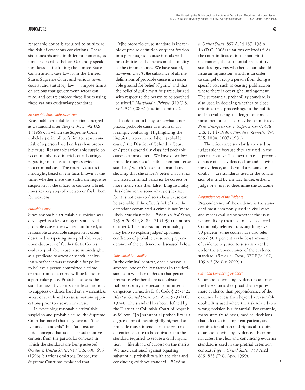reasonable doubt is required to minimize the risk of erroneous convictions. These six standards arise in different contexts, as further described below. Generally speaking, laws — including the United States Constitution, case law from the United States Supreme Court and various lower courts, and statutory law — impose limits on actions that government actors can take, and courts enforce these limits using these various evidentiary standards.

### *Reasonable Articulable Suspicion*

Reasonable articulable suspicion emerged as a standard after *Terry v. Ohio*, 392 U.S. 1 (1968), in which the Supreme Court upheld a police officer's limited search and frisk of a person based on less than probable cause. Reasonable articulable suspicion is commonly used in trial court hearings regarding motions to suppress evidence in a criminal case. The court evaluates in hindsight, based on the facts known at the time, whether there was sufficient requisite suspicion for the officer to conduct a brief, investigatory stop of a person or frisk them for weapons.

### *Probable Cause*

Since reasonable articulable suspicion was developed as a less stringent standard than probable cause, the two remain linked, and reasonable articulable suspicion is often described as ripening into probable cause upon discovery of further facts. Courts evaluate probable cause, also in hindsight, as a predicate to arrest or search, analyzing whether it was reasonable for police to believe a person committed a crime or that fruits of a crime will be found in a particular place. Probable cause is the standard used by courts to rule on motions to suppress evidence based on a warrantless arrest or search and to assess warrant applications prior to a search or arrest.

In describing reasonable articulable suspicion and probable cause, the Supreme Court has noted that they "are not 'finely-tuned standards'" but "are instead fluid concepts that take their substantive content from the particular contexts in which the standards are being assessed." *Ornelas v. United States*, 517 U.S. 690, 696 (1996) (citations omitted). Indeed, the Supreme Court has explained that:

"[t]he probable-cause standard is incapable of precise definition or quantification into percentages because it deals with probabilities and depends on the totality of the circumstances. We have stated, however, that '[t]he substance of all the definitions of probable cause is a reasonable ground for belief of guilt,' and that the belief of guilt must be particularized with respect to the person to be searched or seized." *Maryland v. Pringle,* 540 U.S. 366, 371 (2003) (citations omitted).

In addition to being somewhat amorphous, probable cause as a term of art is simply confusing. Highlighting the linguistic irony in the label "probable cause," the District of Columbia Court of Appeals essentially classified probable cause as a misnomer: "We have described probable cause as a 'flexible, common sense standard,' which 'does not demand any showing that the officer's belief that he has witnessed criminal behavior be correct or more likely true than false.' Linguistically, this definition is somewhat perplexing, for it is not easy to discern how cause can be probable if the officer's belief that the defendant committed a crime is not 'more likely true than false.'" *Pope v. United States*, 739 A.2d 819, 828 n. 21 (1999) (citations omitted). This misleading terminology may help to explain judges' apparent conflation of probable cause and preponderance of the evidence, as discussed below.

### *Substantial Probability*

In the criminal context, once a person is arrested, one of the key factors in the decision as to whether to detain that person pretrial is whether there is a substantial probability the person committed a dangerous crime. *See* D.C. Code § 23-1322; *Blunt v. United States*, 322 A.2d 579 (D.C. 1974). The standard has been defined by the District of Columbia Court of Appeals as follows: "[A] substantial probability is a degree of proof meaningfully higher than probable cause, intended in the pre-trial detention statute to be equivalent to the standard required to secure a civil injunction — likelihood of success on the merits. We have cautioned against equating substantial probability with the clear and convincing evidence standard." *Blackson* 

*v. United States*, 897 A.2d 187, 196 n. 16 (D.C. 2006) (citations omitted).<sup>20</sup> As the court indicated, in the noncriminal context, the substantial probability standard governs whether a court should issue an injunction, which is an order to compel or stop a person from doing a specific act, such as ceasing publication where there is copyright infringement. The substantial probability standard is also used in deciding whether to close criminal trial proceedings to the public and in evaluating the length of time an incompetent accused may be committed. *Press-Enterprise Co. v. Superior Court*, 478 U.S. 1, 14 (1986); *Florida v. Garrett*, 454 U.S. 1004, 1007 (1981).

The prior three standards are used by judges alone because they are used in the pretrial context. The next three — preponderance of the evidence, clear and convincing evidence, and beyond a reasonable doubt — are standards used at the conclusion of a trial by the fact-finder, either a judge or a jury, to determine the outcome.

### *Preponderance of the Evidence*

Preponderance of the evidence is the standard most commonly used in civil cases and means evaluating whether the issue is more likely than not to have occurred. Commonly referred to as anything over 50 percent, some courts have also referenced 50.1 percent as the least amount of evidence required to sustain a verdict under the preponderance of the evidence standard. (*Brown v. Greene,* 577 F.3d 107, 109 n.2 (2d Cir. 2009).)

### *Clear and Convincing Evidence*

Clear and convincing evidence is an intermediate standard of proof that requires more evidence than preponderance of the evidence but less than beyond a reasonable doubt. It is used where the risk related to a wrong decision is substantial. For example, many state fraud cases, medical decisions that affect an incompetent patient, and termination of parental rights all require clear and convincing evidence.<sup>21</sup> In criminal cases, the clear and convincing evidence standard is used in the pretrial detention context. *Pope v. United States*, 739 A.2d 819, 825 (D.C. App. 1999).

4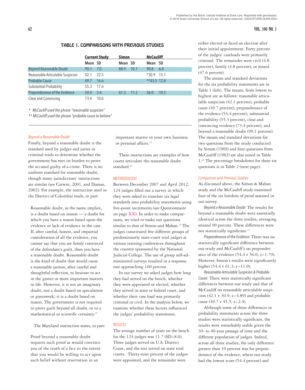# **62 VOL. 100 NO. 1**

# TABLE 1. COMPARISONS WITH PREVIOUS STUDIES

|                                  |          | <b>Current Study</b> | Simon   |      | <b>McCauliff</b> |      |  |
|----------------------------------|----------|----------------------|---------|------|------------------|------|--|
|                                  | Mean SD  |                      | Mean SD |      | Mean SD          |      |  |
| <b>Beyond Reasonable Doubt</b>   | 90.1     | 7.0                  | 88.9    | 10.7 | 90.8             | 6.8  |  |
| Reasonable Articulable Suspicion | 42.1     | 22.5                 |         |      | $*30.9$ 15.1     |      |  |
| <b>Probable Cause</b>            | 49.7     | 16.6                 |         |      | $*45.5$ 12.8     |      |  |
| <b>Substantial Probability</b>   | 55.3     | - 17.6               |         |      |                  |      |  |
| Preponderance of the Evidence    | 54.4 5.4 |                      | 61.3    | 11.2 | 56.0             | 10.5 |  |
| Clear and Convincing             | 73.4     | - 10.6               |         |      |                  |      |  |

*\* McCauliff used the phrase "reasonable suspicion"*

*\*\* McCauliff used the phrase "probable cause to believe"*

# *Beyond a Reasonable Doubt*

Finally, beyond a reasonable doubt is the standard used by judges and juries in criminal trials to determine whether the government has met its burden to prove the accused guilty of a crime. There is no uniform standard for reasonable doubt, though many jurisdictions' instructions are similar (see Corwin, 2001, and Dumas, 2002). For example, the instruction used in the District of Columbia reads, in part:

Reasonable doubt, as the name implies, is a doubt based on reason — a doubt for which you have a reason based upon the evidence or lack of evidence in the case. If, after careful, honest, and impartial consideration of all the evidence, you cannot say that you are firmly convinced of the defendant's guilt, then you have a reasonable doubt. Reasonable doubt is the kind of doubt that would cause a reasonable person, after careful and thoughtful reflection, to hesitate to act in the graver or more important matters in life. However, it is not an imaginary doubt, nor a doubt based on speculation or guesswork; it is a doubt based on reason. The government is not required to prove guilt beyond all doubt, or to a mathematical or scientific certainty.<sup>22</sup>

The Maryland instruction states, in part:

Proof beyond a reasonable doubt requires such proof as would convince you of the truth of a fact to the extent that you would be willing to act upon such belief without reservation in an

important matter in your own business or personal affairs.<sup>23</sup>

These instructions are examples of how courts articulate the reasonable doubt standard.<sup>24</sup>

# **METHODOLOGY**

Between December 2007 and April 2012, 124 judges filled out a survey in which they were asked to translate six legal standards into probability statements using five-point increments (see Questionnaire on page XX). In order to make comparisons, we tried to make our questions similar to that of Simon and Mahan.<sup>25</sup> The judges constituted five different groups of predominantly state-court trial judges at various training conferences throughout the country sponsored by the National Judicial College. The use of group self-administered surveys resulted in a response rate approaching 100 percent.

In our survey we asked judges how long they had served on the bench, whether they were appointed or elected, whether they served in state or federal court, and whether their case load was primarily criminal or civil. In the analysis below, we examine whether these factors influenced the judges' probability statements.

# RESULTS

The average number of years on the bench for the  $124$  judges was  $11.7$  (SD=8.0). Three judges served on U.S. District Court, and the rest served on state trial courts. Thirty-nine percent of the judges were appointed, and the remainder were

either elected or faced an election after their initial appointment. Forty percent of the judges' caseloads were primarily criminal. The remainder were civil (4.8 percent), family (4.8 percent), or mixed (47.6 percent).

The means and standard deviations for the six probability statements are in Table 1 (left). The means, from lowest to highest are as follows: reasonable articulable suspicion (42.1 percent), probable cause (49.7 percent), preponderance of the evidence (54.4 percent), substantial probability (55.3 percent), clear and convincing evidence (73.4 percent), and beyond a reasonable doubt (90.1 percent). The means and standard deviations for two questions from the study conducted by Simon (1969) and four questions from McCauliff (1982) are also noted in Table 1.26 The percentage breakdown for these six questions is in Table 2 (next page).

### *Comparison with Previous Studies*

As discussed above, the Simon & Mahan study and the McCauliff study examined four of the six burdens of proof assessed in our survey.

*Beyond a Reasonable Doubt:* The results for beyond a reasonable doubt were essentially identical across the three studies, averaging around 90 percent. These differences were not statistically significant.27

*Preponderance of the Evidence:* There was no statistically significant difference between our study and McCauliff's on preponderance of the evidence  $(54.4 \text{ v } 56.0; z=1.79)$ . However, Simon's results were significantly higher (54.4 v 61.3; z=11.0).

*Reasonable Articulable Suspicion & Probable Cause:* There were statistically significant differences between our study and that of McCauliff on reasonable articulable suspicion (42.1 v 30.9; z=4.89) and probable cause (49.7 v 45.5;  $z=2.4$ ).

Although some of these differences in probability statements across the three studies were statistically significant, the results were remarkably stable given the 30- to 40-year passage of time and the different population of judges. Indeed, across all three studies, the only difference greater than 10 percent was for preponderance of the evidence, where our study had the lowest score (54.4 percent) and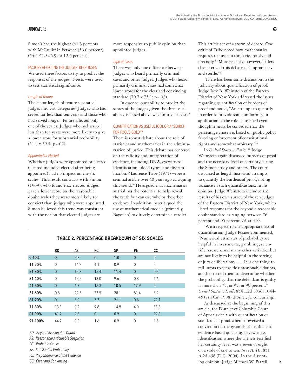Simon's had the highest (61.3 percent) with McCauliff in between (56.0 percent) (54.4-61.3=6.9; or 12.6 percent).

# FACTORS AFFECTING THE JUDGES' RESPONSES

We used three factors to try to predict the responses of the judges. T-tests were used to test statistical significance.

# *Length of Tenure*

The factor length of tenure separated judges into two categories: Judges who had served for less than ten years and those who had served longer. Tenure affected only one of the scales. Judges who had served less than ten years were more likely to give a lower score for substantial probability  $(51.4 \text{ v } 59.4; \text{ p} = .02).$ 

### *Appointed or Elected*

Whether judges were appointed or elected (elected included elected after being appointed) had no impact on the six scales. This result contrasts with Simon (1969), who found that elected judges gave a lower score on the reasonable doubt scale (they were more likely to convict) than judges who were appointed. Simon believed this trend was consistent with the notion that elected judges are

more responsive to public opinion than appointed judges.

# *Type of Cases*

There was only one difference between judges who heard primarily criminal cases and other judges. Judges who heard primarily criminal cases had somewhat lower scores for the clear and convincing standard (70.7 v 75.1; p=.03).

In essence, our ability to predict the scores of the judges given the three variables discussed above was limited at best.<sup>28</sup>

# QUANTIFICATION AS USEFUL TOOL OR A "SEARCH FOR FOOL'S GOLD"?

There is robust debate about the role of statistics and mathematics in the administration of justice. This debate has centered on the validity and interpretation of evidence, including DNA, eyewitness identification, blood types, and discrimination.29 Laurence Tribe (1971) wrote a seminal article over 40 years ago critiquing this trend.30 He argued that mathematics at trial has the potential to help reveal the truth but can overwhelm the other evidence. In addition, he critiqued the use of mathematical models (primarily Bayesian) to directly determine a verdict.

# TABLE 2. PERCENTAGE BREAKDOWN OF SIX SCALES

|           | RD             | AS   | PC.            | <b>SP</b> | PE.            | CC.            |
|-----------|----------------|------|----------------|-----------|----------------|----------------|
| $0 - 10%$ | $\theta$       | 8.3  | $\overline{0}$ | 1.8       | $\overline{0}$ | $\overline{0}$ |
| 11-20%    | $\mathbf{0}$   | 14.2 | 4.1            | 0.9       | $\mathbf 0$    | 0              |
| 21-30%    | $\overline{0}$ | 18.3 | 15.4           | 11.4      | $\theta$       | 0.8            |
| 31-40%    | $\mathbf{0}$   | 12.5 | 13.0           | 9.6       | 0.8            | 1.6            |
| 41-50%    | $\theta$       | 6.7  | 16.3           | 10.5      | 12.9           | $\theta$       |
| 51-60%    | 0.8            | 22.5 | 32.5           | 28.1      | 81.4           | 8.2            |
| 61-70%    | $\theta$       | 5.0  | 7.3            | 21.1      | 0.8            | 22.1           |
| 71-80%    | 13.3           | 9.2  | 9.8            | 14.9      | 4.0            | 53.3           |
| 81-90%    | 41.7           | 2.5  | $\theta$       | 0.9       | $\theta$       | 12.3           |
| 91-100%   | 44.2           | 0.8  | 1.6            | 0.9       | $\mathbf{0}$   | 1.6            |

*RD: Beyond Reasonable Doubt* 

*AS: Reasonable Articulable Suspicion* 

*PC: Probable Cause* 

*SP: Substantial Probability* 

*PE: Preponderance of the Evidence* 

This article set off a storm of debate. One critic of Tribe noted how mathematics requires the user to think rigorously and precisely.31 More recently, however, Tillers characterized this debate as "unproductive and sterile."32

There has been some discussion in the judiciary about quantification of proof. Judge Jack B. Weinstein of the Eastern District of New York addressed the issues regarding quantification of burdens of proof and noted, "An attempt to quantify in order to provide some uniformity in application of the rule is justified even though it must be conceded that the percentage chosen is based on public policy favoring enforcement of constitutional rights and somewhat arbitrary."33

In *United States v. Fatico*, 34 Judge Weinstein again discussed burdens of proof and the necessary level of certainty, citing the Simon study and others. The court discussed at length historical attempts to quantify the burdens of proof, noting variance in such quantifications. In his opinion, Judge Weinstein included the results of his own survey of the ten judges of the Eastern District of New York, which listed responses for the beyond a reasonable doubt standard as ranging between 76 percent and 95 percent. *Id.* at 410.

With respect to the appropriateness of quantification, Judge Posner commented, "Numerical estimates of probability are helpful in investments, gambling, scientific research, and many other activities but are not likely to be helpful in the setting of jury deliberations. . . . It is one thing to tell jurors to set aside unreasonable doubts, another to tell them to determine whether the probability that the defendant is guilty is more than 75, or 95, or 99 percent." *United States v. Hall*, 854 F.2d 1036, 1044- 45 (7th Cir. 1988) (Posner, J., concurring).

As discussed at the beginning of this article, the District of Columbia Court of Appeals dealt with quantification of standards of proof when it reversed a conviction on the grounds of insufficient evidence based on a single eyewitness identification where the witness testified her certainty level was a seven or eight on a scale of one to ten. *In re As.H.*, 851 A.2d 456 (D.C. 2004). In the dissenting opinion, Judge Michael W. Farrell *CC: Clear and Convincing* 4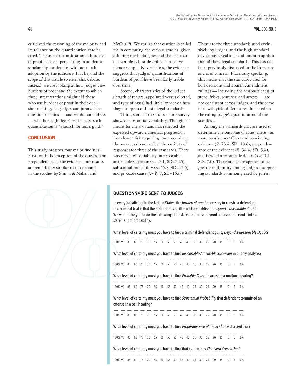criticized the reasoning of the majority and its reliance on the quantification studies cited. The use of quantification of burdens of proof has been percolating in academic scholarship for decades without much adoption by the judiciary. It is beyond the scope of this article to enter this debate. Instead, we are looking at how judges view burdens of proof and the extent to which these interpretations might aid those who use burdens of proof in their decision-making, i.e. judges and jurors. The question remains — and we do not address — whether, as Judge Farrell posits, such quantification is "a search for fool's gold."

# **CONCLUSION**

This study presents four major findings: First, with the exception of the question on preponderance of the evidence, our results are remarkably similar to those found in the studies by Simon & Mahan and



McCauliff. We realize that caution is called for in comparing the various studies, given differing methodologies and the fact that our sample is best described as a convenience sample. Nevertheless, the evidence suggests that judges' quantifications of burdens of proof have been fairly stable over time.

Second, characteristics of the judges (length of tenure, appointed versus elected, and type of cases) had little impact on how they interpreted the six legal standards.

Third, some of the scales in our survey showed substantial variability. Though the means for the six standards reflected the expected upward numerical progression from lower risk requiring lower certainty, the averages do not reflect the entirety of responses for three of the standards. There was very high variability on reasonable articulable suspicion  $(\bar{x}$ =42.1, SD=22.5), substantial probability  $(\bar{x}=55.3, SD=17.6)$ , and probable cause  $(\bar{x} = 49.7, SD = 16.6)$ .

These are the three standards used exclusively by judges, and the high standard deviations reveal a lack of uniform application of these legal standards. This has not been previously discussed in the literature and is of concern. Practically speaking, this means that the standards used for bail decisions and Fourth Amendment rulings — including the reasonableness of stops, frisks, searches, and arrests — are not consistent across judges, and the same facts will yield different results based on the ruling judge's quantification of the standard.

Among the standards that are used to determine the outcome of cases, there was more consistency: Clear and convincing evidence  $(\bar{x}=73.4, SD=10.6)$ , preponderance of the evidence  $(\bar{x}=54.4, SD=5.4)$ , and beyond a reasonable doubt (*x¯*=90.1, SD=7.0). Therefore, there appears to be greater uniformity among judges interpreting standards commonly used by juries.

# QUESTIONNAIRE SENT TO JUDGES

In every jurisdiction in the United States, the *burden of proof* necessary to convict a defendant in a criminal trial is that the defendant's guilt must be established *beyond a reasonable doubt*. We would like you to do the following: Translate the phrase beyond a reasonable doubt into a statement of probability.

What level of certainty must you have to find a criminal defendant guilty *Beyond a Reasonable Doubt*?

| 100% 90 85 80 75 70 65 60 55 50 45 40 35 30 25 20 15 10 5 0% |  |  |  |  |  |  |  |  |  |  |
|--------------------------------------------------------------|--|--|--|--|--|--|--|--|--|--|

What level of certainty must you have to find *Reasonable Articulable Suspicion* in a Terry analysis?

 \_\_ \_\_ \_\_ \_\_ \_\_ \_\_ \_\_ \_\_ \_\_ \_\_ \_\_ \_\_ \_\_ \_\_ \_\_ \_\_ \_\_ \_\_ \_\_ \_\_ 100% 90 85 80 75 70 65 60 55 50 45 40 35 30 25 20 15 10 5 0%

What level of certainty must you have to find *Probable Cause* to arrest at a motions hearing?

| 100% 90 85 80 75 70 65 60 55 50 45 40 35 30 25 20 15 10 5 0% |  |  |  |  |  |  |  |  |  |
|--------------------------------------------------------------|--|--|--|--|--|--|--|--|--|

What level of certainty must you have to find *Substantial Probability* that defendant committed an offense in a bail hearing?

\_\_\_\_\_\_\_\_\_\_\_\_\_\_\_\_\_\_\_\_\_\_\_ 100% 90 85 80 75 70 65 60 55 50 45 40 35 30 25 20 15 10 5 0%

What level of certainty must you have to find *Preponderance of the Evidence* at a civil trial?

\_\_\_\_\_\_\_\_\_\_\_\_\_\_\_\_\_\_\_\_\_\_\_ 100% 90 85 80 75 70 65 60 55 50 45 40 35 30 25 20 15 10 5 0%

What level of certainty must you have to find that evidence is *Clear and Convincing*?

| 100% 90 85 80 75 70 65 60 55 50 45 40 35 30 25 20 15 10 5 0% |  |  |  |  |  |  |  |  |  |  |
|--------------------------------------------------------------|--|--|--|--|--|--|--|--|--|--|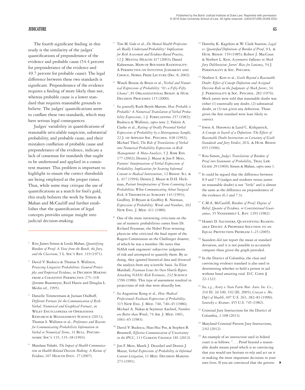The fourth significant finding in this study is the similarity of the judges' quantifications of preponderance of the evidence and probable cause (54.4 percent for preponderance of the evidence and 49.7 percent for probable cause). The legal difference between these two standards is significant. Preponderance of the evidence requires a finding of more likely than not, whereas probable cause is a lower standard that requires reasonable grounds to believe. The judges' quantifications seem to conflate these two standards, which may have serious legal consequences.

Judges' variability in quantifications of reasonable articulable suspicion, substantial probability, and probable cause, and their mistaken conflation of probable cause and preponderance of the evidence, indicate a lack of consensus for standards that ought to be understood and applied in a consistent manner. This problem is important to highlight to ensure the correct thresholds are being employed at the proper times. Thus, while some may critique the use of quantifications as a search for fool's gold, this study bolsters the work by Simon & Mahan and McCauliff and further establishes that the quantification of legal concepts provides unique insight into judicial decision-making.

- <sup>1</sup> Rita James Simon & Linda Mahan, *Quantifying Burdens of Proof: A View from the Bench, the Jury, and the Classroom*, 5 L. Soc'y Rev. 319 (1971).
- <sup>2</sup> David V. Budescu & Thomas S. Wallsten, *Processing Linguistic Probabilities: General Principles and Empirical Evidence*, in Decision Making from a Cognitive Perspective 275–318 (Jerome Busemeyer, Reid Hastie and Douglas L. Medin ed., 1995).
- Danielle Timmermans & Juriaan Oudhoff, *Different Formats for the Communication of Risk: Verbal, Numerical and Graphical Formats*, in Wiley Encyclopedia of Operations Research & Management Science (2011); Thomas S. Wallsten et al., *Preferences and Reasons for Communicating Probabilistic Information in*  Verbal or Numerical Terms, 31 BULL. PSYCHOnomic Soc'y 135, 135–38 (1993).
- <sup>4</sup> Mandana Vahabi, *The Impact of Health Communication on Health-Related Decision Making: A Review of Evidence*, 107 HEALTH EDUC. 27 (2007).
- <sup>5</sup> Tim M. Gale et al., *Do Mental Health Professionals Really Understand Probability? Implications for Risk Assessment and Evidence-Based Practice*, 12 J. Mental Health 417 (2003); Daniel Kahneman, Maps of Bounded Rationality: A Perspective on Intuitive Judgment and Choice, Nobel Prize Lecture (Dec. 8, 2002).
- <sup>6</sup> Wandi Bruine de Bruin et al., V*erbal and Numerical Expressions of Probability: "It's a Fifty-Fifty Chance"*, 81 Organizational Behav. & Hum. Decision Processes 115 (2000).
- <sup>7</sup> *See generally* Ruth Beyth-Marom, *How Probable is Probable? A Numerical Translation of Verbal Proba*bility Expressions, 1 J. FORECASTING 257 (1982); Budescu & Wallsten, *supra* note 2; Valerie A. Clarke et al., *Ratings of Orally Presented Verbal Expressions of Probability by a Heterogeneous Sample*, 22 J. of Applied Soc. Psychol. 638 (1992); Michael Theil, *The Role of Translations of Verbal into Numerical Probability Expressions in Risk Management: A Meta-Analysis*, 5 J. Risk Res. 177 (2002); Dennis J. Mazur & Jon F. Merz, *Patients' Interpretations of Verbal Expressions of Probability: Implications for Securing Informed Consent to Medical Interventions*, 12 Behav. Sci. & L. 417 (1994); Dennis J. Mazur & D.H. Hickman, *Patient Interpretations of Terms Connoting Low Probabilities When Communicating About Surgical Risk*, 8 Theoretical Surgery 143 (1993); Geoffrey. D Bryant & Geoffrey R. Norman, *Expressions of Probability: Words and Numbers*, 302 New Eng. J. Med. 411 (1980).
- One of the more interesting criticisms on the use of numeric probabilities comes from Dr. Richard Feynman, the Nobel Prize-winning physicist who criticized the final report of the Rogers Commission on the Challenger disaster, of which he was a member. He notes that NASA took engineers' subjective judgments of risk and attempted to quantify them. By so doing, they ignored historical data and divorced the analysis from any scientific basis. *See* Eliot Marshall, *Feynman Issues his Own Shuttle Report, Attacking NASA's Risk Estimates*, 232 Science 1596 (1986). This type of assessment resulted in projections of risk that were absurdly low.
- <sup>9</sup> *See* Augustine Kong et al., *How Medical Professionals Evaluate Expressions of Probability*, 315 New Eng. J. Med. 740, 740–45 (1986); Michael A. Nakao & Seymour Axelrod, *Numbers*  are Better than Words, 74 AM. J. MED. 1061, 1061–65 (1983).
- <sup>10</sup> David V. Budescu, Han-Hui Por, & Stephen B. Broomell, *Effective Communication of Uncertainty in the IPCC*, 113 Climate Change 181 (2012).
- <sup>11</sup> Jon F. Merz, Marek J. Druzdzel and Dennis J. Mazur, *Verbal Expressions of Probability in Informed Consent Litigation*, 11 Med. Decision Making 273 (1991).
- <sup>12</sup> Dorothy K. Kagehiro & W. Clark Stanton, *Legal vs. Quantified Definitions of Burden of Proof*, 9 L. & Hum. Behav. 159 (1985); Robert J. MacCoun & Norbert L. Kerr, *Asymmetric Influence in Mock Jury Deliberation: Jurors' Bias for Leniency*, 54 J. PERSONALITY & SOC. PSYCHOL.
- <sup>13</sup> Norbert L. Kerr et al., *Guilt Beyond a Reasonable Doubt: Effect of Concept Definition and Assigned Decision Rule on the Judgments of Mock Jurors*, 34 J. Personality & Soc. Psychol. 282 (1976). Mock jurors were told that reasonable doubt was either (1) essentially any doubt, (2) substantial doubt, or (3) not given any definition. Those given the first standard were least likely to convict.
- <sup>14</sup> Irwin A. Horowitz & Laird C. Kirkpatrick, *A Concept in Search of a Definition: The Effects of Reasonable Doubt Instructions on Certainty of Guilt*  Standards and Jury Verdict, 20 L. & HUM. BEHAV. 655 (1996).
- <sup>15</sup> Rita Simon, *Judge's Translations of Burdens of*  Proof into Statements of Probability, TRIAL LAW. Guide 29 (1969); Simon & Mahan, *supra* note 1.
- <sup>16</sup> It could be argued that the difference between 8.9 and 7.9 (judges and students versus jurors on reasonable doubt) is not "little" and is almost the same as the difference on preponderance of the evidence (6.1 and 7.3).
- <sup>17</sup> C.M.A. McCauliff, *Burdens of Proof: Degrees of Belief, Quanta of Evidence, or Constitutional Guarantees*, 35 Vanderbilt L. Rev. 1293 (1982).
- <sup>18</sup> HARRY D. SAUNDERS, QUANTIFYING REASONable Doubt: A Proposed Solution to an EQUAL PROTECTION PROBLEM  $1-23$  (2005).
- <sup>19</sup> Saunders did not report the mean or standard deviation, and it is not possible to accurately compute these given the graph provided.
- <sup>20</sup> In the District of Columbia, the clear and convincing evidence standard is also used in determining whether to hold a person in jail without bond awaiting trial. D.C. CODE § 22-1322.
- <sup>21</sup> *See, e.g.*, *Avery v. State Farm Mut. Auto. Ins. Co.*, 216 Ill. 2d 100, 192 (Ill. 2005); *Cruzan v. Mo. Dep't of Health*, 497 U.S. 261, 282–83 (1990); *Santosky v. Kramer*, 455 U.S. 745 (1982).
- <sup>22</sup> Criminal Jury Instructions for the District of Columbia, 2.108 (2013).
- <sup>23</sup> Maryland Criminal Pattern Jury Instructions, 2:02 (2012).
- <sup>24</sup> An example of an instruction used in federal court is as follows: ". . . Proof beyond a reasonable doubt means proof which is so convincing that you would not hesitate to rely and act on it in making the most important decisions in your own lives. If you are convinced that the govern- 4